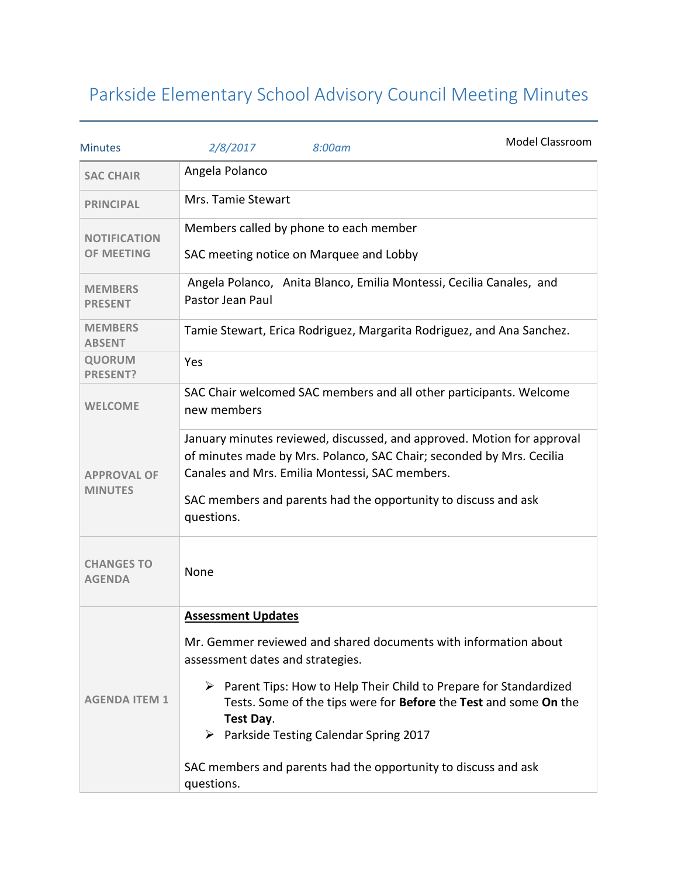## Parkside Elementary School Advisory Council Meeting Minutes

| <b>Minutes</b>                           | 2/8/2017                                                                                | 8:00am                                                 | Model Classroom                                                                                                                                       |  |
|------------------------------------------|-----------------------------------------------------------------------------------------|--------------------------------------------------------|-------------------------------------------------------------------------------------------------------------------------------------------------------|--|
| <b>SAC CHAIR</b>                         | Angela Polanco                                                                          |                                                        |                                                                                                                                                       |  |
| <b>PRINCIPAL</b>                         | Mrs. Tamie Stewart                                                                      |                                                        |                                                                                                                                                       |  |
| <b>NOTIFICATION</b><br><b>OF MEETING</b> | Members called by phone to each member                                                  |                                                        |                                                                                                                                                       |  |
|                                          |                                                                                         | SAC meeting notice on Marquee and Lobby                |                                                                                                                                                       |  |
| <b>MEMBERS</b><br><b>PRESENT</b>         | Angela Polanco, Anita Blanco, Emilia Montessi, Cecilia Canales, and<br>Pastor Jean Paul |                                                        |                                                                                                                                                       |  |
| <b>MEMBERS</b><br><b>ABSENT</b>          | Tamie Stewart, Erica Rodriguez, Margarita Rodriguez, and Ana Sanchez.                   |                                                        |                                                                                                                                                       |  |
| <b>QUORUM</b><br><b>PRESENT?</b>         | Yes                                                                                     |                                                        |                                                                                                                                                       |  |
| <b>WELCOME</b>                           | new members                                                                             |                                                        | SAC Chair welcomed SAC members and all other participants. Welcome                                                                                    |  |
| <b>APPROVAL OF</b><br><b>MINUTES</b>     |                                                                                         | Canales and Mrs. Emilia Montessi, SAC members.         | January minutes reviewed, discussed, and approved. Motion for approval<br>of minutes made by Mrs. Polanco, SAC Chair; seconded by Mrs. Cecilia        |  |
|                                          | questions.                                                                              |                                                        | SAC members and parents had the opportunity to discuss and ask                                                                                        |  |
| <b>CHANGES TO</b><br><b>AGENDA</b>       | None                                                                                    |                                                        |                                                                                                                                                       |  |
| <b>AGENDA ITEM 1</b>                     | <b>Assessment Updates</b>                                                               |                                                        |                                                                                                                                                       |  |
|                                          | assessment dates and strategies.                                                        |                                                        | Mr. Gemmer reviewed and shared documents with information about                                                                                       |  |
|                                          | Test Day.                                                                               | $\triangleright$ Parkside Testing Calendar Spring 2017 | $\triangleright$ Parent Tips: How to Help Their Child to Prepare for Standardized<br>Tests. Some of the tips were for Before the Test and some On the |  |
|                                          |                                                                                         |                                                        |                                                                                                                                                       |  |
|                                          | questions.                                                                              |                                                        | SAC members and parents had the opportunity to discuss and ask                                                                                        |  |